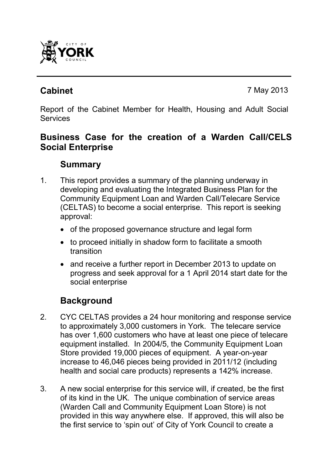

**Cabinet** 7 May 2013

Report of the Cabinet Member for Health, Housing and Adult Social **Services** 

# **Business Case for the creation of a Warden Call/CELS Social Enterprise**

# **Summary**

- 1. This report provides a summary of the planning underway in developing and evaluating the Integrated Business Plan for the Community Equipment Loan and Warden Call/Telecare Service (CELTAS) to become a social enterprise. This report is seeking approval:
	- of the proposed governance structure and legal form
	- to proceed initially in shadow form to facilitate a smooth transition
	- and receive a further report in December 2013 to update on progress and seek approval for a 1 April 2014 start date for the social enterprise

# **Background**

- 2. CYC CELTAS provides a 24 hour monitoring and response service to approximately 3,000 customers in York. The telecare service has over 1,600 customers who have at least one piece of telecare equipment installed. In 2004/5, the Community Equipment Loan Store provided 19,000 pieces of equipment. A year-on-year increase to 46,046 pieces being provided in 2011/12 (including health and social care products) represents a 142% increase.
- 3. A new social enterprise for this service will, if created, be the first of its kind in the UK. The unique combination of service areas (Warden Call and Community Equipment Loan Store) is not provided in this way anywhere else. If approved, this will also be the first service to 'spin out' of City of York Council to create a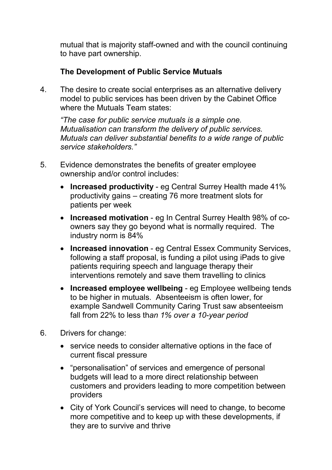mutual that is majority staff-owned and with the council continuing to have part ownership.

### **The Development of Public Service Mutuals**

4. The desire to create social enterprises as an alternative delivery model to public services has been driven by the Cabinet Office where the Mutuals Team states:

*"The case for public service mutuals is a simple one. Mutualisation can transform the delivery of public services. Mutuals can deliver substantial benefits to a wide range of public service stakeholders."* 

- 5. Evidence demonstrates the benefits of greater employee ownership and/or control includes:
	- **Increased productivity** eg Central Surrey Health made 41% productivity gains – creating 76 more treatment slots for patients per week
	- **Increased motivation**  eg In Central Surrey Health 98% of coowners say they go beyond what is normally required. The industry norm is 84%
	- **Increased innovation**  eg Central Essex Community Services, following a staff proposal, is funding a pilot using iPads to give patients requiring speech and language therapy their interventions remotely and save them travelling to clinics
	- **Increased employee wellbeing**  eg Employee wellbeing tends to be higher in mutuals. Absenteeism is often lower, for example Sandwell Community Caring Trust saw absenteeism fall from 22% to less th*an 1% over a 10-year period*
- 6. Drivers for change:
	- service needs to consider alternative options in the face of current fiscal pressure
	- "personalisation" of services and emergence of personal budgets will lead to a more direct relationship between customers and providers leading to more competition between providers
	- City of York Council's services will need to change, to become more competitive and to keep up with these developments, if they are to survive and thrive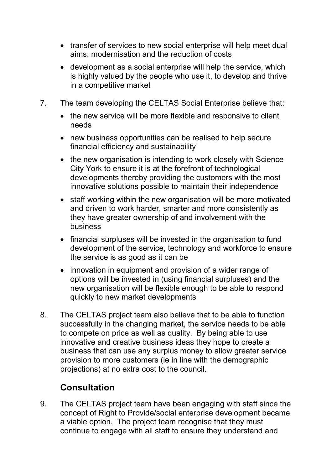- transfer of services to new social enterprise will help meet dual aims: modernisation and the reduction of costs
- development as a social enterprise will help the service, which is highly valued by the people who use it, to develop and thrive in a competitive market
- 7. The team developing the CELTAS Social Enterprise believe that:
	- the new service will be more flexible and responsive to client needs
	- new business opportunities can be realised to help secure financial efficiency and sustainability
	- the new organisation is intending to work closely with Science City York to ensure it is at the forefront of technological developments thereby providing the customers with the most innovative solutions possible to maintain their independence
	- staff working within the new organisation will be more motivated and driven to work harder, smarter and more consistently as they have greater ownership of and involvement with the business
	- financial surpluses will be invested in the organisation to fund development of the service, technology and workforce to ensure the service is as good as it can be
	- innovation in equipment and provision of a wider range of options will be invested in (using financial surpluses) and the new organisation will be flexible enough to be able to respond quickly to new market developments
- 8. The CELTAS project team also believe that to be able to function successfully in the changing market, the service needs to be able to compete on price as well as quality. By being able to use innovative and creative business ideas they hope to create a business that can use any surplus money to allow greater service provision to more customers (ie in line with the demographic projections) at no extra cost to the council.

# **Consultation**

9. The CELTAS project team have been engaging with staff since the concept of Right to Provide/social enterprise development became a viable option. The project team recognise that they must continue to engage with all staff to ensure they understand and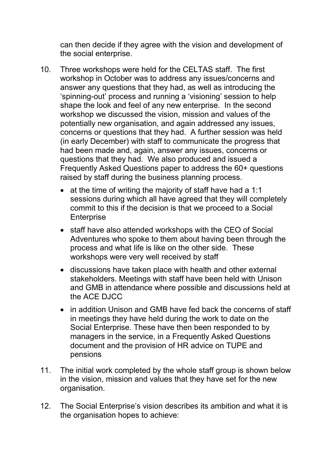can then decide if they agree with the vision and development of the social enterprise.

- 10. Three workshops were held for the CELTAS staff. The first workshop in October was to address any issues/concerns and answer any questions that they had, as well as introducing the 'spinning-out' process and running a 'visioning' session to help shape the look and feel of any new enterprise. In the second workshop we discussed the vision, mission and values of the potentially new organisation, and again addressed any issues, concerns or questions that they had. A further session was held (in early December) with staff to communicate the progress that had been made and, again, answer any issues, concerns or questions that they had. We also produced and issued a Frequently Asked Questions paper to address the 60+ questions raised by staff during the business planning process.
	- at the time of writing the majority of staff have had a 1:1 sessions during which all have agreed that they will completely commit to this if the decision is that we proceed to a Social **Enterprise**
	- staff have also attended workshops with the CEO of Social Adventures who spoke to them about having been through the process and what life is like on the other side. These workshops were very well received by staff
	- discussions have taken place with health and other external stakeholders. Meetings with staff have been held with Unison and GMB in attendance where possible and discussions held at the ACF DJCC
	- in addition Unison and GMB have fed back the concerns of staff in meetings they have held during the work to date on the Social Enterprise. These have then been responded to by managers in the service, in a Frequently Asked Questions document and the provision of HR advice on TUPE and pensions
- 11. The initial work completed by the whole staff group is shown below in the vision, mission and values that they have set for the new organisation.
- 12. The Social Enterprise's vision describes its ambition and what it is the organisation hopes to achieve: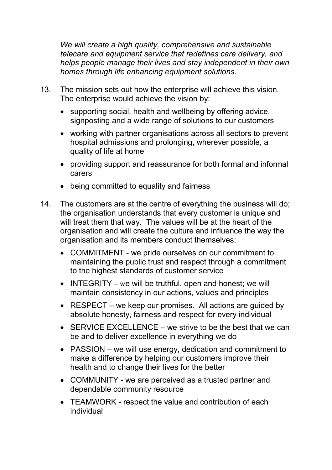*We will create a high quality, comprehensive and sustainable telecare and equipment service that redefines care delivery, and helps people manage their lives and stay independent in their own homes through life enhancing equipment solutions.* 

- 13. The mission sets out how the enterprise will achieve this vision. The enterprise would achieve the vision by:
	- supporting social, health and wellbeing by offering advice, signposting and a wide range of solutions to our customers
	- working with partner organisations across all sectors to prevent hospital admissions and prolonging, wherever possible, a quality of life at home
	- providing support and reassurance for both formal and informal carers
	- being committed to equality and fairness
- 14. The customers are at the centre of everything the business will do; the organisation understands that every customer is unique and will treat them that way. The values will be at the heart of the organisation and will create the culture and influence the way the organisation and its members conduct themselves:
	- COMMITMENT we pride ourselves on our commitment to maintaining the public trust and respect through a commitment to the highest standards of customer service
	- INTEGRITY we will be truthful, open and honest; we will maintain consistency in our actions, values and principles
	- RESPECT we keep our promises. All actions are guided by absolute honesty, fairness and respect for every individual
	- SERVICE EXCELLENCE we strive to be the best that we can be and to deliver excellence in everything we do
	- PASSION we will use energy, dedication and commitment to make a difference by helping our customers improve their health and to change their lives for the better
	- COMMUNITY we are perceived as a trusted partner and dependable community resource
	- TEAMWORK respect the value and contribution of each individual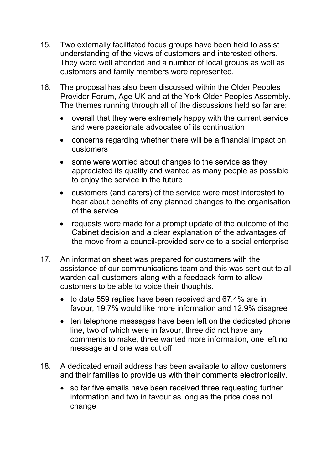- 15. Two externally facilitated focus groups have been held to assist understanding of the views of customers and interested others. They were well attended and a number of local groups as well as customers and family members were represented.
- 16. The proposal has also been discussed within the Older Peoples Provider Forum, Age UK and at the York Older Peoples Assembly. The themes running through all of the discussions held so far are:
	- overall that they were extremely happy with the current service and were passionate advocates of its continuation
	- concerns regarding whether there will be a financial impact on customers
	- some were worried about changes to the service as they appreciated its quality and wanted as many people as possible to enjoy the service in the future
	- customers (and carers) of the service were most interested to hear about benefits of any planned changes to the organisation of the service
	- requests were made for a prompt update of the outcome of the Cabinet decision and a clear explanation of the advantages of the move from a council-provided service to a social enterprise
- 17. An information sheet was prepared for customers with the assistance of our communications team and this was sent out to all warden call customers along with a feedback form to allow customers to be able to voice their thoughts.
	- to date 559 replies have been received and 67.4% are in favour, 19.7% would like more information and 12.9% disagree
	- ten telephone messages have been left on the dedicated phone line, two of which were in favour, three did not have any comments to make, three wanted more information, one left no message and one was cut off
- 18. A dedicated email address has been available to allow customers and their families to provide us with their comments electronically.
	- so far five emails have been received three requesting further information and two in favour as long as the price does not change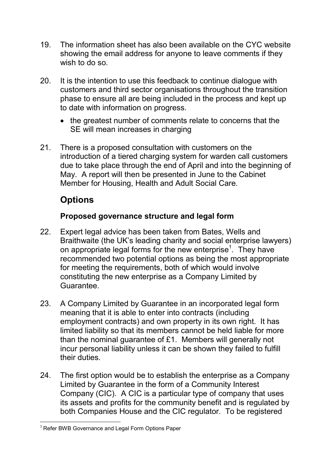- 19. The information sheet has also been available on the CYC website showing the email address for anyone to leave comments if they wish to do so.
- 20. It is the intention to use this feedback to continue dialogue with customers and third sector organisations throughout the transition phase to ensure all are being included in the process and kept up to date with information on progress.
	- the greatest number of comments relate to concerns that the SE will mean increases in charging
- 21. There is a proposed consultation with customers on the introduction of a tiered charging system for warden call customers due to take place through the end of April and into the beginning of May. A report will then be presented in June to the Cabinet Member for Housing, Health and Adult Social Care.

# **Options**

## **Proposed governance structure and legal form**

- 22. Expert legal advice has been taken from Bates, Wells and Braithwaite (the UK's leading charity and social enterprise lawyers) on appropriate legal forms for the new enterprise<sup>1</sup>. They have recommended two potential options as being the most appropriate for meeting the requirements, both of which would involve constituting the new enterprise as a Company Limited by Guarantee.
- 23. A Company Limited by Guarantee in an incorporated legal form meaning that it is able to enter into contracts (including employment contracts) and own property in its own right. It has limited liability so that its members cannot be held liable for more than the nominal guarantee of £1. Members will generally not incur personal liability unless it can be shown they failed to fulfill their duties.
- 24. The first option would be to establish the enterprise as a Company Limited by Guarantee in the form of a Community Interest Company (CIC). A CIC is a particular type of company that uses its assets and profits for the community benefit and is regulated by both Companies House and the CIC regulator. To be registered

 $\overline{a}$  $1$  Refer BWB Governance and Legal Form Options Paper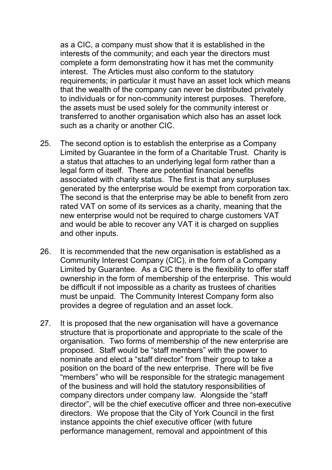as a CIC, a company must show that it is established in the interests of the community; and each year the directors must complete a form demonstrating how it has met the community interest. The Articles must also conform to the statutory requirements; in particular it must have an asset lock which means that the wealth of the company can never be distributed privately to individuals or for non-community interest purposes. Therefore, the assets must be used solely for the community interest or transferred to another organisation which also has an asset lock such as a charity or another CIC.

- 25. The second option is to establish the enterprise as a Company Limited by Guarantee in the form of a Charitable Trust. Charity is a status that attaches to an underlying legal form rather than a legal form of itself. There are potential financial benefits associated with charity status. The first is that any surpluses generated by the enterprise would be exempt from corporation tax. The second is that the enterprise may be able to benefit from zero rated VAT on some of its services as a charity, meaning that the new enterprise would not be required to charge customers VAT and would be able to recover any VAT it is charged on supplies and other inputs.
- 26. It is recommended that the new organisation is established as a Community Interest Company (CIC), in the form of a Company Limited by Guarantee. As a CIC there is the flexibility to offer staff ownership in the form of membership of the enterprise. This would be difficult if not impossible as a charity as trustees of charities must be unpaid. The Community Interest Company form also provides a degree of regulation and an asset lock.
- 27. It is proposed that the new organisation will have a governance structure that is proportionate and appropriate to the scale of the organisation. Two forms of membership of the new enterprise are proposed. Staff would be "staff members" with the power to nominate and elect a "staff director" from their group to take a position on the board of the new enterprise. There will be five "members" who will be responsible for the strategic management of the business and will hold the statutory responsibilities of company directors under company law. Alongside the "staff director", will be the chief executive officer and three non-executive directors. We propose that the City of York Council in the first instance appoints the chief executive officer (with future performance management, removal and appointment of this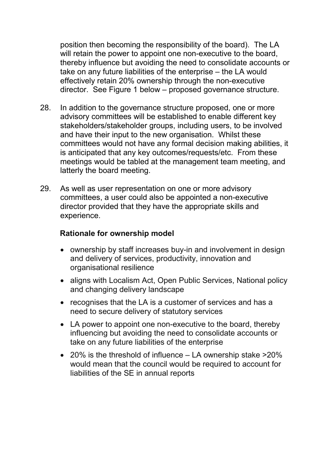position then becoming the responsibility of the board). The LA will retain the power to appoint one non-executive to the board, thereby influence but avoiding the need to consolidate accounts or take on any future liabilities of the enterprise – the LA would effectively retain 20% ownership through the non-executive director. See Figure 1 below – proposed governance structure.

- 28. In addition to the governance structure proposed, one or more advisory committees will be established to enable different key stakeholders/stakeholder groups, including users, to be involved and have their input to the new organisation. Whilst these committees would not have any formal decision making abilities, it is anticipated that any key outcomes/requests/etc. From these meetings would be tabled at the management team meeting, and latterly the board meeting.
- 29. As well as user representation on one or more advisory committees, a user could also be appointed a non-executive director provided that they have the appropriate skills and experience.

#### **Rationale for ownership model**

- ownership by staff increases buy-in and involvement in design and delivery of services, productivity, innovation and organisational resilience
- aligns with Localism Act, Open Public Services, National policy and changing delivery landscape
- recognises that the LA is a customer of services and has a need to secure delivery of statutory services
- LA power to appoint one non-executive to the board, thereby influencing but avoiding the need to consolidate accounts or take on any future liabilities of the enterprise
- 20% is the threshold of influence LA ownership stake >20% would mean that the council would be required to account for liabilities of the SE in annual reports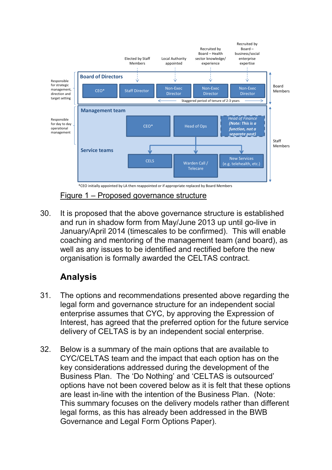

30. It is proposed that the above governance structure is established and run in shadow form from May/June 2013 up until go-live in January/April 2014 (timescales to be confirmed). This will enable coaching and mentoring of the management team (and board), as well as any issues to be identified and rectified before the new organisation is formally awarded the CELTAS contract.

# **Analysis**

- 31. The options and recommendations presented above regarding the legal form and governance structure for an independent social enterprise assumes that CYC, by approving the Expression of Interest, has agreed that the preferred option for the future service delivery of CELTAS is by an independent social enterprise.
- 32. Below is a summary of the main options that are available to CYC/CELTAS team and the impact that each option has on the key considerations addressed during the development of the Business Plan. The 'Do Nothing' and 'CELTAS is outsourced' options have not been covered below as it is felt that these options are least in-line with the intention of the Business Plan. (Note: This summary focuses on the delivery models rather than different legal forms, as this has already been addressed in the BWB Governance and Legal Form Options Paper).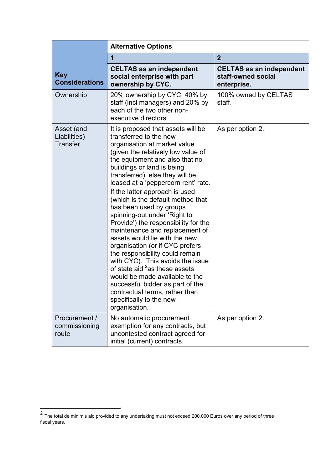|                                               | <b>Alternative Options</b>                                                                                                                                                                                                                                                                                                                                                                                                                                                                                                                                                                                                                                                                                                                                                                                                           |                                                                      |  |  |
|-----------------------------------------------|--------------------------------------------------------------------------------------------------------------------------------------------------------------------------------------------------------------------------------------------------------------------------------------------------------------------------------------------------------------------------------------------------------------------------------------------------------------------------------------------------------------------------------------------------------------------------------------------------------------------------------------------------------------------------------------------------------------------------------------------------------------------------------------------------------------------------------------|----------------------------------------------------------------------|--|--|
|                                               | 1                                                                                                                                                                                                                                                                                                                                                                                                                                                                                                                                                                                                                                                                                                                                                                                                                                    | $\overline{2}$                                                       |  |  |
| <b>Key</b><br><b>Considerations</b>           | <b>CELTAS as an independent</b><br>social enterprise with part<br>ownership by CYC.                                                                                                                                                                                                                                                                                                                                                                                                                                                                                                                                                                                                                                                                                                                                                  | <b>CELTAS as an independent</b><br>staff-owned social<br>enterprise. |  |  |
| Ownership                                     | 20% ownership by CYC, 40% by<br>staff (incl managers) and 20% by<br>each of the two other non-<br>executive directors.                                                                                                                                                                                                                                                                                                                                                                                                                                                                                                                                                                                                                                                                                                               | 100% owned by CELTAS<br>staff.                                       |  |  |
| Asset (and<br>Liabilities)<br><b>Transfer</b> | It is proposed that assets will be<br>transferred to the new<br>organisation at market value<br>(given the relatively low value of<br>the equipment and also that no<br>buildings or land is being<br>transferred), else they will be<br>leased at a 'peppercorn rent' rate.<br>If the latter approach is used<br>(which is the default method that<br>has been used by groups<br>spinning-out under 'Right to<br>Provide') the responsibility for the<br>maintenance and replacement of<br>assets would lie with the new<br>organisation (or if CYC prefers<br>the responsibility could remain<br>with CYC). This avoids the issue<br>of state aid <sup>2</sup> as these assets<br>would be made available to the<br>successful bidder as part of the<br>contractual terms, rather than<br>specifically to the new<br>organisation. | As per option 2.                                                     |  |  |
| Procurement /<br>commissioning<br>route       | No automatic procurement<br>exemption for any contracts, but<br>uncontested contract agreed for<br>initial (current) contracts.                                                                                                                                                                                                                                                                                                                                                                                                                                                                                                                                                                                                                                                                                                      | As per option 2.                                                     |  |  |

 2 The total de minimis aid provided to any undertaking must not exceed 200,000 Euros over any period of three fiscal years.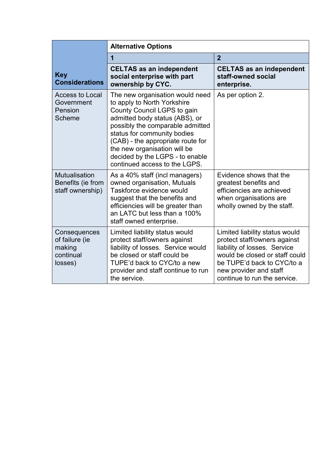|                                                                  | <b>Alternative Options</b>                                                                                                                                                                                                                                                                                                                  |                                                                                                                                                                                                                          |  |  |
|------------------------------------------------------------------|---------------------------------------------------------------------------------------------------------------------------------------------------------------------------------------------------------------------------------------------------------------------------------------------------------------------------------------------|--------------------------------------------------------------------------------------------------------------------------------------------------------------------------------------------------------------------------|--|--|
|                                                                  | 1                                                                                                                                                                                                                                                                                                                                           | $\overline{2}$                                                                                                                                                                                                           |  |  |
| <b>Key</b><br><b>Considerations</b>                              | <b>CELTAS as an independent</b><br>social enterprise with part<br>ownership by CYC.                                                                                                                                                                                                                                                         | <b>CELTAS as an independent</b><br>staff-owned social<br>enterprise.                                                                                                                                                     |  |  |
| <b>Access to Local</b><br>Government<br>Pension<br>Scheme        | The new organisation would need<br>to apply to North Yorkshire<br>County Council LGPS to gain<br>admitted body status (ABS), or<br>possibly the comparable admitted<br>status for community bodies<br>(CAB) - the appropriate route for<br>the new organisation will be<br>decided by the LGPS - to enable<br>continued access to the LGPS. | As per option 2.                                                                                                                                                                                                         |  |  |
| <b>Mutualisation</b><br>Benefits (ie from<br>staff ownership)    | As a 40% staff (incl managers)<br>owned organisation, Mutuals<br>Taskforce evidence would<br>suggest that the benefits and<br>efficiencies will be greater than<br>an LATC but less than a 100%<br>staff owned enterprise.                                                                                                                  | Evidence shows that the<br>greatest benefits and<br>efficiencies are achieved<br>when organisations are<br>wholly owned by the staff.                                                                                    |  |  |
| Consequences<br>of failure (ie<br>making<br>continual<br>losses) | Limited liability status would<br>protect staff/owners against<br>liability of losses. Service would<br>be closed or staff could be<br>TUPE'd back to CYC/to a new<br>provider and staff continue to run<br>the service.                                                                                                                    | Limited liability status would<br>protect staff/owners against<br>liability of losses. Service<br>would be closed or staff could<br>be TUPE'd back to CYC/to a<br>new provider and staff<br>continue to run the service. |  |  |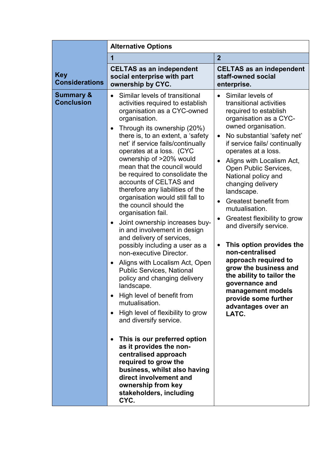|                                           | <b>Alternative Options</b>                                                                                                                                                                                                                                                                                                                                                                                                                                                                                                                                                                                                                                                                                                                                                                                                                                                                                                                                                                                                                                                                                                                                                                                        |                                                                                                                                                                                                                                                                                                                                                                                                                                                                                                                                                                                                                                                                                                                                             |  |  |  |
|-------------------------------------------|-------------------------------------------------------------------------------------------------------------------------------------------------------------------------------------------------------------------------------------------------------------------------------------------------------------------------------------------------------------------------------------------------------------------------------------------------------------------------------------------------------------------------------------------------------------------------------------------------------------------------------------------------------------------------------------------------------------------------------------------------------------------------------------------------------------------------------------------------------------------------------------------------------------------------------------------------------------------------------------------------------------------------------------------------------------------------------------------------------------------------------------------------------------------------------------------------------------------|---------------------------------------------------------------------------------------------------------------------------------------------------------------------------------------------------------------------------------------------------------------------------------------------------------------------------------------------------------------------------------------------------------------------------------------------------------------------------------------------------------------------------------------------------------------------------------------------------------------------------------------------------------------------------------------------------------------------------------------------|--|--|--|
|                                           | 1                                                                                                                                                                                                                                                                                                                                                                                                                                                                                                                                                                                                                                                                                                                                                                                                                                                                                                                                                                                                                                                                                                                                                                                                                 | $\overline{2}$                                                                                                                                                                                                                                                                                                                                                                                                                                                                                                                                                                                                                                                                                                                              |  |  |  |
| <b>Key</b><br><b>Considerations</b>       | <b>CELTAS as an independent</b><br>social enterprise with part<br>ownership by CYC.                                                                                                                                                                                                                                                                                                                                                                                                                                                                                                                                                                                                                                                                                                                                                                                                                                                                                                                                                                                                                                                                                                                               | <b>CELTAS as an independent</b><br>staff-owned social<br>enterprise.                                                                                                                                                                                                                                                                                                                                                                                                                                                                                                                                                                                                                                                                        |  |  |  |
| <b>Summary &amp;</b><br><b>Conclusion</b> | Similar levels of transitional<br>$\bullet$<br>activities required to establish<br>organisation as a CYC-owned<br>organisation.<br>Through its ownership (20%)<br>$\bullet$<br>there is, to an extent, a 'safety'<br>net' if service fails/continually<br>operates at a loss. (CYC<br>ownership of >20% would<br>mean that the council would<br>be required to consolidate the<br>accounts of CELTAS and<br>therefore any liabilities of the<br>organisation would still fall to<br>the council should the<br>organisation fail.<br>Joint ownership increases buy-<br>$\bullet$<br>in and involvement in design<br>and delivery of services,<br>possibly including a user as a<br>non-executive Director.<br>Aligns with Localism Act, Open<br>$\bullet$<br><b>Public Services, National</b><br>policy and changing delivery<br>landscape.<br>High level of benefit from<br>mutualisation.<br>High level of flexibility to grow<br>$\bullet$<br>and diversify service.<br>This is our preferred option<br>$\bullet$<br>as it provides the non-<br>centralised approach<br>required to grow the<br>business, whilst also having<br>direct involvement and<br>ownership from key<br>stakeholders, including<br>CYC. | Similar levels of<br>$\bullet$<br>transitional activities<br>required to establish<br>organisation as a CYC-<br>owned organisation.<br>No substantial 'safety net'<br>$\bullet$<br>if service fails/ continually<br>operates at a loss.<br>Aligns with Localism Act,<br>$\bullet$<br>Open Public Services,<br>National policy and<br>changing delivery<br>landscape.<br>Greatest benefit from<br>$\bullet$<br>mutualisation.<br>Greatest flexibility to grow<br>$\bullet$<br>and diversify service.<br>This option provides the<br>$\bullet$<br>non-centralised<br>approach required to<br>grow the business and<br>the ability to tailor the<br>governance and<br>management models<br>provide some further<br>advantages over an<br>LATC. |  |  |  |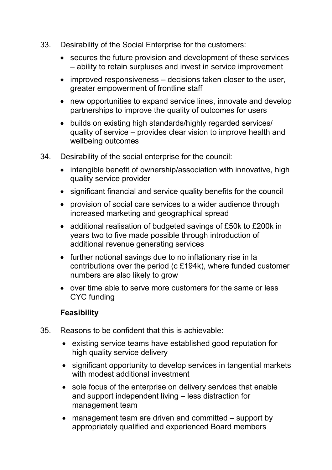- 33. Desirability of the Social Enterprise for the customers:
	- secures the future provision and development of these services – ability to retain surpluses and invest in service improvement
	- improved responsiveness decisions taken closer to the user, greater empowerment of frontline staff
	- new opportunities to expand service lines, innovate and develop partnerships to improve the quality of outcomes for users
	- builds on existing high standards/highly regarded services/ quality of service – provides clear vision to improve health and wellbeing outcomes
- 34. Desirability of the social enterprise for the council:
	- intangible benefit of ownership/association with innovative, high quality service provider
	- significant financial and service quality benefits for the council
	- provision of social care services to a wider audience through increased marketing and geographical spread
	- additional realisation of budgeted savings of £50k to £200k in years two to five made possible through introduction of additional revenue generating services
	- further notional savings due to no inflationary rise in la contributions over the period (c £194k), where funded customer numbers are also likely to grow
	- over time able to serve more customers for the same or less CYC funding

## **Feasibility**

- 35. Reasons to be confident that this is achievable:
	- existing service teams have established good reputation for high quality service delivery
	- significant opportunity to develop services in tangential markets with modest additional investment
	- sole focus of the enterprise on delivery services that enable and support independent living – less distraction for management team
	- management team are driven and committed support by appropriately qualified and experienced Board members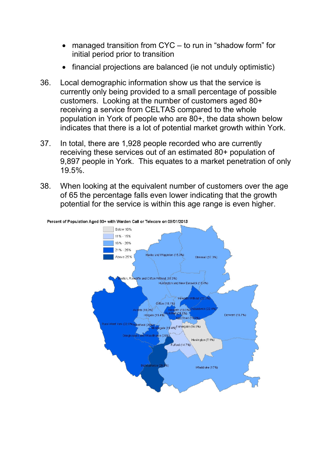- managed transition from CYC to run in "shadow form" for initial period prior to transition
- financial projections are balanced (ie not unduly optimistic)
- 36. Local demographic information show us that the service is currently only being provided to a small percentage of possible customers. Looking at the number of customers aged 80+ receiving a service from CELTAS compared to the whole population in York of people who are 80+, the data shown below indicates that there is a lot of potential market growth within York.
- 37. In total, there are 1,928 people recorded who are currently receiving these services out of an estimated 80+ population of 9,897 people in York. This equates to a market penetration of only 19.5%.
- 38. When looking at the equivalent number of customers over the age of 65 the percentage falls even lower indicating that the growth potential for the service is within this age range is even higher.

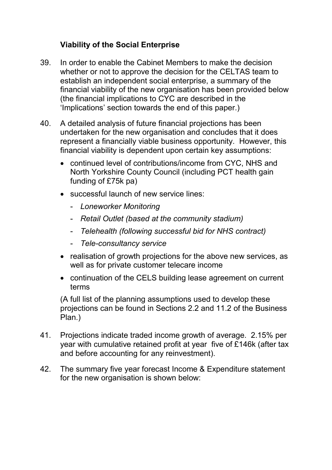# **Viability of the Social Enterprise**

- 39. In order to enable the Cabinet Members to make the decision whether or not to approve the decision for the CELTAS team to establish an independent social enterprise, a summary of the financial viability of the new organisation has been provided below (the financial implications to CYC are described in the 'Implications' section towards the end of this paper.)
- 40. A detailed analysis of future financial projections has been undertaken for the new organisation and concludes that it does represent a financially viable business opportunity. However, this financial viability is dependent upon certain key assumptions:
	- continued level of contributions/income from CYC, NHS and North Yorkshire County Council (including PCT health gain funding of £75k pa)
	- successful launch of new service lines:
		- *Loneworker Monitoring*
		- *Retail Outlet (based at the community stadium)*
		- *Telehealth (following successful bid for NHS contract)*
		- *Tele-consultancy service*
	- realisation of growth projections for the above new services, as well as for private customer telecare income
	- continuation of the CELS building lease agreement on current terms

(A full list of the planning assumptions used to develop these projections can be found in Sections 2.2 and 11.2 of the Business Plan.)

- 41. Projections indicate traded income growth of average. 2.15% per year with cumulative retained profit at year five of £146k (after tax and before accounting for any reinvestment).
- 42. The summary five year forecast Income & Expenditure statement for the new organisation is shown below: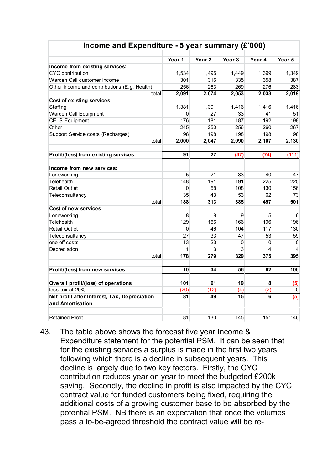| Income and Expenditure - 5 year summary $(E'000)$                |                   |                   |                 |                |        |
|------------------------------------------------------------------|-------------------|-------------------|-----------------|----------------|--------|
|                                                                  | Year <sub>1</sub> | Year <sub>2</sub> | Year 3          | Year 4         | Year 5 |
| Income from existing services:                                   |                   |                   |                 |                |        |
| <b>CYC</b> contribution                                          | 1,534             | 1,495             | 1,449           | 1,399          | 1,349  |
| Warden Call customer Income                                      | 301               | 316               | 335             | 358            | 387    |
| Other income and contributions (E.g. Health)                     | 256               | 263               | 269             | 276            | 283    |
| total                                                            | 2,091             | 2,074             | 2,053           | 2,033          | 2,019  |
| Cost of existing services                                        |                   |                   |                 |                |        |
| Staffing                                                         | 1,381             | 1,391             | 1,416           | 1,416          | 1,416  |
| Warden Call Equipment                                            | $\Omega$          | 27                | 33              | 41             | 51     |
| <b>CELS Equipment</b>                                            | 176               | 181               | 187             | 192            | 198    |
| Other                                                            | 245               | 250               | 256             | 260            | 267    |
| Support Service costs (Recharges)                                | 198               | 198               | 198             | 198            | 198    |
| total                                                            | 2,000             | 2,047             | 2,090           | 2,107          | 2,130  |
| Profit/(loss) from existing services                             | 91                | $\overline{27}$   | (37)            | (74)           | (111)  |
| Income from new services:                                        |                   |                   |                 |                |        |
| Loneworking                                                      | 5                 | 21                | 33              | 40             | 47     |
| Telehealth                                                       | 148               | 191               | 191             | 225            | 225    |
| <b>Retail Outlet</b>                                             | 0                 | 58                | 108             | 130            | 156    |
| Teleconsultancy                                                  | 35                | 43                | 53              | 62             | 73     |
| total                                                            | 188               | 313               | 385             | 457            | 501    |
| Cost of new services                                             |                   |                   |                 |                |        |
| Loneworking                                                      | 8                 | 8                 | 9               | $\overline{5}$ | 6      |
| Telehealth                                                       | 129               | 166               | 166             | 196            | 196    |
| <b>Retail Outlet</b>                                             | 0                 | 46                | 104             | 117            | 130    |
| Teleconsultancy                                                  | 27                | 33                | 47              | 53             | 59     |
| one off costs                                                    | 13                | 23                | 0               | 0              | 0      |
| Depreciation                                                     | 1                 | 3                 | 3               | 4              | 4      |
| total                                                            | 178               | 279               | 329             | 375            | 395    |
| Profit/(loss) from new services                                  | 10                | 34                | 56              | 82             | 106    |
| Overall profit/(loss) of operations                              | 101               | 61                | 19              | 8              | (5)    |
| less tax at 20%                                                  | (20)              | (12)              | (4)             | (2)            | 0      |
| Net profit after Interest, Tax, Depreciation<br>and Amortisation | 81                | 49                | $\overline{15}$ | 6              | (5)    |
| <b>Retained Profit</b>                                           | 81                | 130               | 145             | 151            | 146    |

43. The table above shows the forecast five year Income & Expenditure statement for the potential PSM. It can be seen that for the existing services a surplus is made in the first two years, following which there is a decline in subsequent years. This decline is largely due to two key factors. Firstly, the CYC contribution reduces year on year to meet the budgeted £200k saving. Secondly, the decline in profit is also impacted by the CYC contract value for funded customers being fixed, requiring the additional costs of a growing customer base to be absorbed by the potential PSM. NB there is an expectation that once the volumes pass a to-be-agreed threshold the contract value will be re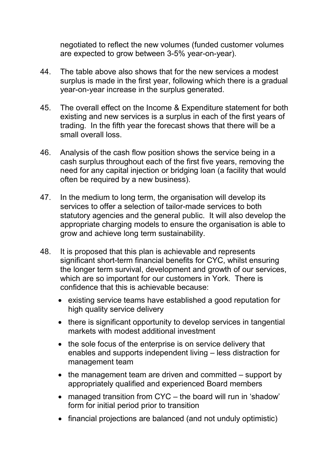negotiated to reflect the new volumes (funded customer volumes are expected to grow between 3-5% year-on-year).

- 44. The table above also shows that for the new services a modest surplus is made in the first year, following which there is a gradual year-on-year increase in the surplus generated.
- 45. The overall effect on the Income & Expenditure statement for both existing and new services is a surplus in each of the first years of trading. In the fifth year the forecast shows that there will be a small overall loss.
- 46. Analysis of the cash flow position shows the service being in a cash surplus throughout each of the first five years, removing the need for any capital injection or bridging loan (a facility that would often be required by a new business).
- 47. In the medium to long term, the organisation will develop its services to offer a selection of tailor-made services to both statutory agencies and the general public. It will also develop the appropriate charging models to ensure the organisation is able to grow and achieve long term sustainability.
- 48. It is proposed that this plan is achievable and represents significant short-term financial benefits for CYC, whilst ensuring the longer term survival, development and growth of our services, which are so important for our customers in York. There is confidence that this is achievable because:
	- existing service teams have established a good reputation for high quality service delivery
	- there is significant opportunity to develop services in tangential markets with modest additional investment
	- the sole focus of the enterprise is on service delivery that enables and supports independent living – less distraction for management team
	- the management team are driven and committed support by appropriately qualified and experienced Board members
	- managed transition from CYC the board will run in 'shadow' form for initial period prior to transition
	- financial projections are balanced (and not unduly optimistic)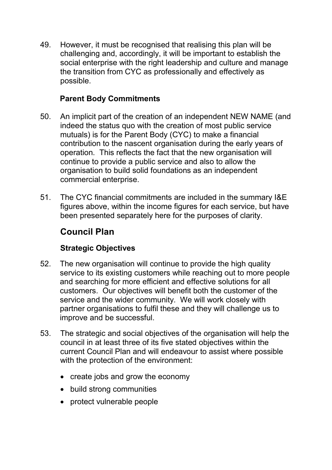49. However, it must be recognised that realising this plan will be challenging and, accordingly, it will be important to establish the social enterprise with the right leadership and culture and manage the transition from CYC as professionally and effectively as possible.

## **Parent Body Commitments**

- 50. An implicit part of the creation of an independent NEW NAME (and indeed the status quo with the creation of most public service mutuals) is for the Parent Body (CYC) to make a financial contribution to the nascent organisation during the early years of operation. This reflects the fact that the new organisation will continue to provide a public service and also to allow the organisation to build solid foundations as an independent commercial enterprise.
- 51. The CYC financial commitments are included in the summary I&E figures above, within the income figures for each service, but have been presented separately here for the purposes of clarity.

# **Council Plan**

## **Strategic Objectives**

- 52. The new organisation will continue to provide the high quality service to its existing customers while reaching out to more people and searching for more efficient and effective solutions for all customers. Our objectives will benefit both the customer of the service and the wider community. We will work closely with partner organisations to fulfil these and they will challenge us to improve and be successful.
- 53. The strategic and social objectives of the organisation will help the council in at least three of its five stated objectives within the current Council Plan and will endeavour to assist where possible with the protection of the environment:
	- create jobs and grow the economy
	- build strong communities
	- protect vulnerable people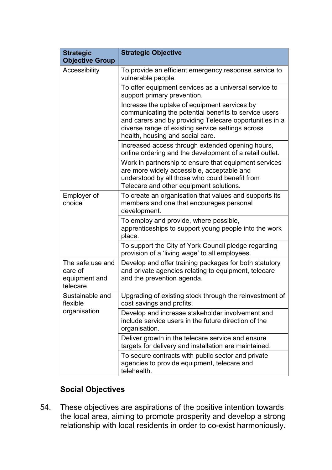| <b>Strategic</b>                                         | <b>Strategic Objective</b>                                                                                                                                                                                                                                |  |  |
|----------------------------------------------------------|-----------------------------------------------------------------------------------------------------------------------------------------------------------------------------------------------------------------------------------------------------------|--|--|
| <b>Objective Group</b>                                   |                                                                                                                                                                                                                                                           |  |  |
| Accessibility                                            | To provide an efficient emergency response service to<br>vulnerable people.                                                                                                                                                                               |  |  |
|                                                          | To offer equipment services as a universal service to<br>support primary prevention.                                                                                                                                                                      |  |  |
|                                                          | Increase the uptake of equipment services by<br>communicating the potential benefits to service users<br>and carers and by providing Telecare opportunities in a<br>diverse range of existing service settings across<br>health, housing and social care. |  |  |
|                                                          | Increased access through extended opening hours,<br>online ordering and the development of a retail outlet.                                                                                                                                               |  |  |
|                                                          | Work in partnership to ensure that equipment services<br>are more widely accessible, acceptable and<br>understood by all those who could benefit from<br>Telecare and other equipment solutions.                                                          |  |  |
| Employer of<br>choice                                    | To create an organisation that values and supports its<br>members and one that encourages personal<br>development.                                                                                                                                        |  |  |
|                                                          | To employ and provide, where possible,<br>apprenticeships to support young people into the work<br>place.                                                                                                                                                 |  |  |
|                                                          | To support the City of York Council pledge regarding<br>provision of a 'living wage' to all employees.                                                                                                                                                    |  |  |
| The safe use and<br>care of<br>equipment and<br>telecare | Develop and offer training packages for both statutory<br>and private agencies relating to equipment, telecare<br>and the prevention agenda.                                                                                                              |  |  |
| Sustainable and<br>flexible                              | Upgrading of existing stock through the reinvestment of<br>cost savings and profits.                                                                                                                                                                      |  |  |
| organisation                                             | Develop and increase stakeholder involvement and<br>include service users in the future direction of the<br>organisation.                                                                                                                                 |  |  |
|                                                          | Deliver growth in the telecare service and ensure<br>targets for delivery and installation are maintained.                                                                                                                                                |  |  |
|                                                          | To secure contracts with public sector and private<br>agencies to provide equipment, telecare and<br>telehealth.                                                                                                                                          |  |  |

# **Social Objectives**

54. These objectives are aspirations of the positive intention towards the local area, aiming to promote prosperity and develop a strong relationship with local residents in order to co-exist harmoniously.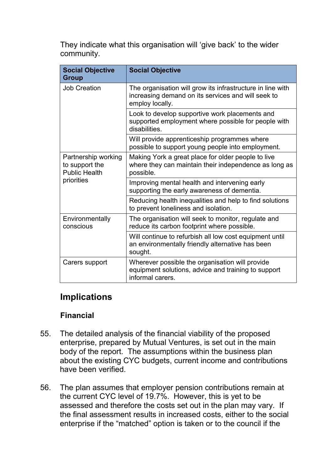They indicate what this organisation will 'give back' to the wider community.

| <b>Social Objective</b><br><b>Group</b>                       | <b>Social Objective</b>                                                                                                             |  |  |
|---------------------------------------------------------------|-------------------------------------------------------------------------------------------------------------------------------------|--|--|
| <b>Job Creation</b>                                           | The organisation will grow its infrastructure in line with<br>increasing demand on its services and will seek to<br>employ locally. |  |  |
|                                                               | Look to develop supportive work placements and<br>supported employment where possible for people with<br>disabilities.              |  |  |
|                                                               | Will provide apprenticeship programmes where<br>possible to support young people into employment.                                   |  |  |
| Partnership working<br>to support the<br><b>Public Health</b> | Making York a great place for older people to live<br>where they can maintain their independence as long as<br>possible.            |  |  |
| priorities                                                    | Improving mental health and intervening early<br>supporting the early awareness of dementia.                                        |  |  |
|                                                               | Reducing health inequalities and help to find solutions<br>to prevent loneliness and isolation.                                     |  |  |
| Environmentally<br>conscious                                  | The organisation will seek to monitor, regulate and<br>reduce its carbon footprint where possible.                                  |  |  |
|                                                               | Will continue to refurbish all low cost equipment until<br>an environmentally friendly alternative has been<br>sought.              |  |  |
| Carers support                                                | Wherever possible the organisation will provide<br>equipment solutions, advice and training to support<br>informal carers.          |  |  |

# **Implications**

#### **Financial**

- 55. The detailed analysis of the financial viability of the proposed enterprise, prepared by Mutual Ventures, is set out in the main body of the report. The assumptions within the business plan about the existing CYC budgets, current income and contributions have been verified.
- 56. The plan assumes that employer pension contributions remain at the current CYC level of 19.7%. However, this is yet to be assessed and therefore the costs set out in the plan may vary. If the final assessment results in increased costs, either to the social enterprise if the "matched" option is taken or to the council if the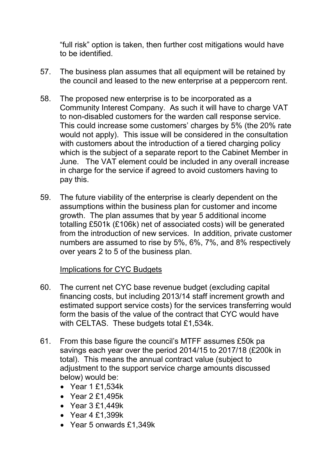"full risk" option is taken, then further cost mitigations would have to be identified.

- 57. The business plan assumes that all equipment will be retained by the council and leased to the new enterprise at a peppercorn rent.
- 58. The proposed new enterprise is to be incorporated as a Community Interest Company. As such it will have to charge VAT to non-disabled customers for the warden call response service. This could increase some customers' charges by 5% (the 20% rate would not apply). This issue will be considered in the consultation with customers about the introduction of a tiered charging policy which is the subject of a separate report to the Cabinet Member in June. The VAT element could be included in any overall increase in charge for the service if agreed to avoid customers having to pay this.
- 59. The future viability of the enterprise is clearly dependent on the assumptions within the business plan for customer and income growth. The plan assumes that by year 5 additional income totalling £501k (£106k) net of associated costs) will be generated from the introduction of new services. In addition, private customer numbers are assumed to rise by 5%, 6%, 7%, and 8% respectively over years 2 to 5 of the business plan.

#### Implications for CYC Budgets

- 60. The current net CYC base revenue budget (excluding capital financing costs, but including 2013/14 staff increment growth and estimated support service costs) for the services transferring would form the basis of the value of the contract that CYC would have with CELTAS. These budgets total £1,534k.
- 61. From this base figure the council's MTFF assumes £50k pa savings each year over the period 2014/15 to 2017/18 (£200k in total). This means the annual contract value (subject to adjustment to the support service charge amounts discussed below) would be:
	- Year 1 £1,534k
	- Year 2 £1,495k
	- Year 3 £1,449k
	- Year 4 £1,399k
	- Year 5 onwards £1,349k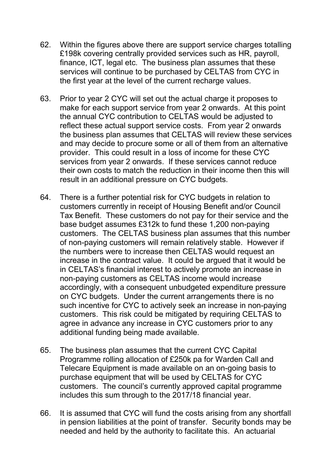- 62. Within the figures above there are support service charges totalling £198k covering centrally provided services such as HR, payroll, finance, ICT, legal etc. The business plan assumes that these services will continue to be purchased by CELTAS from CYC in the first year at the level of the current recharge values.
- 63. Prior to year 2 CYC will set out the actual charge it proposes to make for each support service from year 2 onwards. At this point the annual CYC contribution to CELTAS would be adjusted to reflect these actual support service costs. From year 2 onwards the business plan assumes that CELTAS will review these services and may decide to procure some or all of them from an alternative provider. This could result in a loss of income for these CYC services from year 2 onwards. If these services cannot reduce their own costs to match the reduction in their income then this will result in an additional pressure on CYC budgets.
- 64. There is a further potential risk for CYC budgets in relation to customers currently in receipt of Housing Benefit and/or Council Tax Benefit. These customers do not pay for their service and the base budget assumes £312k to fund these 1,200 non-paying customers. The CELTAS business plan assumes that this number of non-paying customers will remain relatively stable. However if the numbers were to increase then CELTAS would request an increase in the contract value. It could be argued that it would be in CELTAS's financial interest to actively promote an increase in non-paying customers as CELTAS income would increase accordingly, with a consequent unbudgeted expenditure pressure on CYC budgets. Under the current arrangements there is no such incentive for CYC to actively seek an increase in non-paying customers. This risk could be mitigated by requiring CELTAS to agree in advance any increase in CYC customers prior to any additional funding being made available.
- 65. The business plan assumes that the current CYC Capital Programme rolling allocation of £250k pa for Warden Call and Telecare Equipment is made available on an on-going basis to purchase equipment that will be used by CELTAS for CYC customers. The council's currently approved capital programme includes this sum through to the 2017/18 financial year.
- 66. It is assumed that CYC will fund the costs arising from any shortfall in pension liabilities at the point of transfer. Security bonds may be needed and held by the authority to facilitate this. An actuarial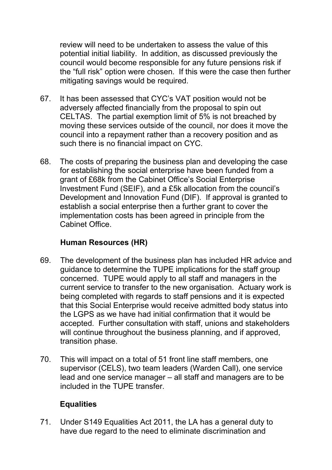review will need to be undertaken to assess the value of this potential initial liability. In addition, as discussed previously the council would become responsible for any future pensions risk if the "full risk" option were chosen. If this were the case then further mitigating savings would be required.

- 67. It has been assessed that CYC's VAT position would not be adversely affected financially from the proposal to spin out CELTAS. The partial exemption limit of 5% is not breached by moving these services outside of the council, nor does it move the council into a repayment rather than a recovery position and as such there is no financial impact on CYC.
- 68. The costs of preparing the business plan and developing the case for establishing the social enterprise have been funded from a grant of £68k from the Cabinet Office's Social Enterprise Investment Fund (SEIF), and a £5k allocation from the council's Development and Innovation Fund (DIF). If approval is granted to establish a social enterprise then a further grant to cover the implementation costs has been agreed in principle from the Cabinet Office.

## **Human Resources (HR)**

- 69. The development of the business plan has included HR advice and guidance to determine the TUPE implications for the staff group concerned. TUPE would apply to all staff and managers in the current service to transfer to the new organisation. Actuary work is being completed with regards to staff pensions and it is expected that this Social Enterprise would receive admitted body status into the LGPS as we have had initial confirmation that it would be accepted. Further consultation with staff, unions and stakeholders will continue throughout the business planning, and if approved, transition phase.
- 70. This will impact on a total of 51 front line staff members, one supervisor (CELS), two team leaders (Warden Call), one service lead and one service manager – all staff and managers are to be included in the TUPE transfer.

## **Equalities**

71. Under S149 Equalities Act 2011, the LA has a general duty to have due regard to the need to eliminate discrimination and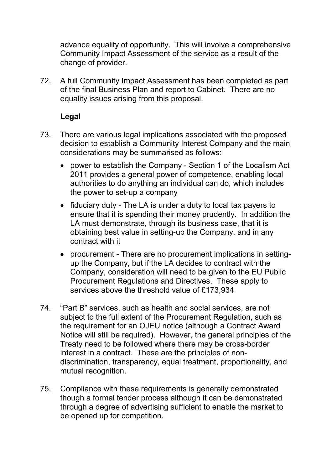advance equality of opportunity. This will involve a comprehensive Community Impact Assessment of the service as a result of the change of provider.

72. A full Community Impact Assessment has been completed as part of the final Business Plan and report to Cabinet. There are no equality issues arising from this proposal.

### **Legal**

- 73. There are various legal implications associated with the proposed decision to establish a Community Interest Company and the main considerations may be summarised as follows:
	- power to establish the Company Section 1 of the Localism Act 2011 provides a general power of competence, enabling local authorities to do anything an individual can do, which includes the power to set-up a company
	- fiduciary duty The LA is under a duty to local tax payers to ensure that it is spending their money prudently. In addition the LA must demonstrate, through its business case, that it is obtaining best value in setting-up the Company, and in any contract with it
	- procurement There are no procurement implications in settingup the Company, but if the LA decides to contract with the Company, consideration will need to be given to the EU Public Procurement Regulations and Directives. These apply to services above the threshold value of £173,934
- 74. "Part B" services, such as health and social services, are not subject to the full extent of the Procurement Regulation, such as the requirement for an OJEU notice (although a Contract Award Notice will still be required). However, the general principles of the Treaty need to be followed where there may be cross-border interest in a contract. These are the principles of nondiscrimination, transparency, equal treatment, proportionality, and mutual recognition.
- 75. Compliance with these requirements is generally demonstrated though a formal tender process although it can be demonstrated through a degree of advertising sufficient to enable the market to be opened up for competition.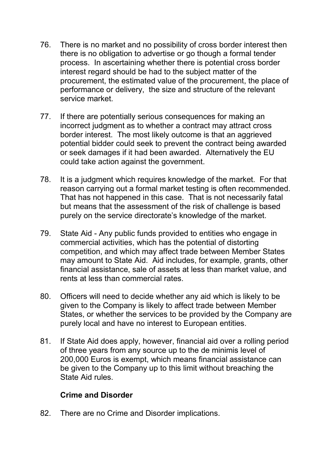- 76. There is no market and no possibility of cross border interest then there is no obligation to advertise or go though a formal tender process. In ascertaining whether there is potential cross border interest regard should be had to the subject matter of the procurement, the estimated value of the procurement, the place of performance or delivery, the size and structure of the relevant service market.
- 77. If there are potentially serious consequences for making an incorrect judgment as to whether a contract may attract cross border interest. The most likely outcome is that an aggrieved potential bidder could seek to prevent the contract being awarded or seek damages if it had been awarded. Alternatively the EU could take action against the government.
- 78. It is a judgment which requires knowledge of the market. For that reason carrying out a formal market testing is often recommended. That has not happened in this case. That is not necessarily fatal but means that the assessment of the risk of challenge is based purely on the service directorate's knowledge of the market.
- 79. State Aid Any public funds provided to entities who engage in commercial activities, which has the potential of distorting competition, and which may affect trade between Member States may amount to State Aid. Aid includes, for example, grants, other financial assistance, sale of assets at less than market value, and rents at less than commercial rates.
- 80. Officers will need to decide whether any aid which is likely to be given to the Company is likely to affect trade between Member States, or whether the services to be provided by the Company are purely local and have no interest to European entities.
- 81. If State Aid does apply, however, financial aid over a rolling period of three years from any source up to the de minimis level of 200,000 Euros is exempt, which means financial assistance can be given to the Company up to this limit without breaching the State Aid rules.

#### **Crime and Disorder**

82. There are no Crime and Disorder implications.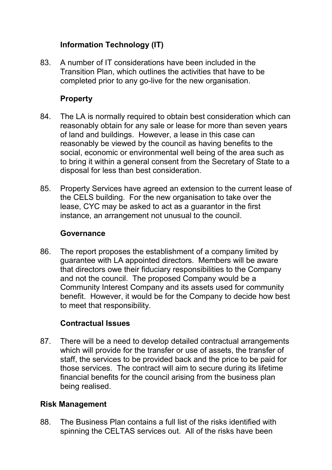# **Information Technology (IT)**

83. A number of IT considerations have been included in the Transition Plan, which outlines the activities that have to be completed prior to any go-live for the new organisation.

### **Property**

- 84. The LA is normally required to obtain best consideration which can reasonably obtain for any sale or lease for more than seven years of land and buildings. However, a lease in this case can reasonably be viewed by the council as having benefits to the social, economic or environmental well being of the area such as to bring it within a general consent from the Secretary of State to a disposal for less than best consideration.
- 85. Property Services have agreed an extension to the current lease of the CELS building. For the new organisation to take over the lease, CYC may be asked to act as a guarantor in the first instance, an arrangement not unusual to the council.

#### **Governance**

86. The report proposes the establishment of a company limited by guarantee with LA appointed directors. Members will be aware that directors owe their fiduciary responsibilities to the Company and not the council. The proposed Company would be a Community Interest Company and its assets used for community benefit. However, it would be for the Company to decide how best to meet that responsibility.

#### **Contractual Issues**

87. There will be a need to develop detailed contractual arrangements which will provide for the transfer or use of assets, the transfer of staff, the services to be provided back and the price to be paid for those services. The contract will aim to secure during its lifetime financial benefits for the council arising from the business plan being realised.

#### **Risk Management**

88. The Business Plan contains a full list of the risks identified with spinning the CELTAS services out. All of the risks have been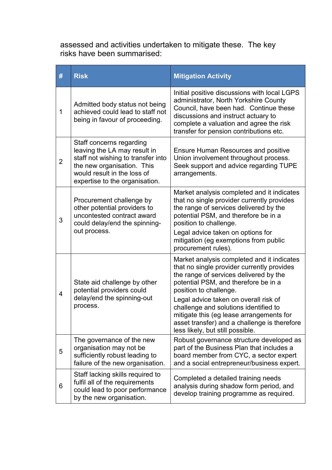assessed and activities undertaken to mitigate these. The key risks have been summarised:

| #              | <b>Risk</b>                                                                                                                                                                                   | <b>Mitigation Activity</b>                                                                                                                                                                                                                                                                                                                                                                                             |  |  |
|----------------|-----------------------------------------------------------------------------------------------------------------------------------------------------------------------------------------------|------------------------------------------------------------------------------------------------------------------------------------------------------------------------------------------------------------------------------------------------------------------------------------------------------------------------------------------------------------------------------------------------------------------------|--|--|
| 1              | Admitted body status not being<br>achieved could lead to staff not<br>being in favour of proceeding.                                                                                          | Initial positive discussions with local LGPS<br>administrator, North Yorkshire County<br>Council, have been had. Continue these<br>discussions and instruct actuary to<br>complete a valuation and agree the risk<br>transfer for pension contributions etc.                                                                                                                                                           |  |  |
| $\overline{2}$ | Staff concerns regarding<br>leaving the LA may result in<br>staff not wishing to transfer into<br>the new organisation. This<br>would result in the loss of<br>expertise to the organisation. | <b>Ensure Human Resources and positive</b><br>Union involvement throughout process.<br>Seek support and advice regarding TUPE<br>arrangements.                                                                                                                                                                                                                                                                         |  |  |
| 3              | Procurement challenge by<br>other potential providers to<br>uncontested contract award<br>could delay/end the spinning-<br>out process.                                                       | Market analysis completed and it indicates<br>that no single provider currently provides<br>the range of services delivered by the<br>potential PSM, and therefore be in a<br>position to challenge.<br>Legal advice taken on options for<br>mitigation (eg exemptions from public<br>procurement rules).                                                                                                              |  |  |
| $\overline{4}$ | State aid challenge by other<br>potential providers could<br>delay/end the spinning-out<br>process.                                                                                           | Market analysis completed and it indicates<br>that no single provider currently provides<br>the range of services delivered by the<br>potential PSM, and therefore be in a<br>position to challenge.<br>Legal advice taken on overall risk of<br>challenge and solutions identified to<br>mitigate this (eg lease arrangements for<br>asset transfer) and a challenge is therefore<br>less likely, but still possible. |  |  |
| 5              | The governance of the new<br>organisation may not be<br>sufficiently robust leading to<br>failure of the new organisation.                                                                    | Robust governance structure developed as<br>part of the Business Plan that includes a<br>board member from CYC, a sector expert<br>and a social entrepreneur/business expert.                                                                                                                                                                                                                                          |  |  |
| 6              | Staff lacking skills required to<br>fulfil all of the requirements<br>could lead to poor performance<br>by the new organisation.                                                              | Completed a detailed training needs<br>analysis during shadow form period, and<br>develop training programme as required.                                                                                                                                                                                                                                                                                              |  |  |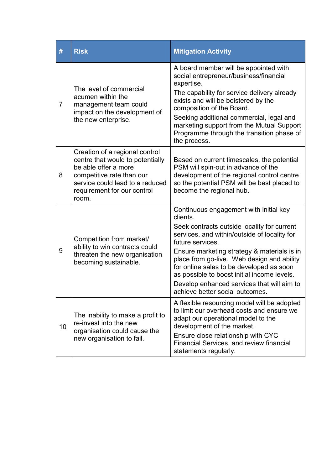| #              | <b>Risk</b>                                                                                                                                                                                        | <b>Mitigation Activity</b>                                                                                                                                                                                                                                                                                                                                                                                                                     |  |  |  |
|----------------|----------------------------------------------------------------------------------------------------------------------------------------------------------------------------------------------------|------------------------------------------------------------------------------------------------------------------------------------------------------------------------------------------------------------------------------------------------------------------------------------------------------------------------------------------------------------------------------------------------------------------------------------------------|--|--|--|
| $\overline{7}$ | The level of commercial<br>acumen within the<br>management team could<br>impact on the development of<br>the new enterprise.                                                                       | A board member will be appointed with<br>social entrepreneur/business/financial<br>expertise.<br>The capability for service delivery already<br>exists and will be bolstered by the<br>composition of the Board.<br>Seeking additional commercial, legal and<br>marketing support from the Mutual Support<br>Programme through the transition phase of<br>the process.                                                                         |  |  |  |
| 8              | Creation of a regional control<br>centre that would to potentially<br>be able offer a more<br>competitive rate than our<br>service could lead to a reduced<br>requirement for our control<br>room. | Based on current timescales, the potential<br>PSM will spin-out in advance of the<br>development of the regional control centre<br>so the potential PSM will be best placed to<br>become the regional hub.                                                                                                                                                                                                                                     |  |  |  |
| 9              | Competition from market/<br>ability to win contracts could<br>threaten the new organisation<br>becoming sustainable.                                                                               | Continuous engagement with initial key<br>clients.<br>Seek contracts outside locality for current<br>services, and within/outside of locality for<br>future services.<br>Ensure marketing strategy & materials is in<br>place from go-live. Web design and ability<br>for online sales to be developed as soon<br>as possible to boost initial income levels.<br>Develop enhanced services that will aim to<br>achieve better social outcomes. |  |  |  |
| 10             | The inability to make a profit to<br>re-invest into the new<br>organisation could cause the<br>new organisation to fail.                                                                           | A flexible resourcing model will be adopted<br>to limit our overhead costs and ensure we<br>adapt our operational model to the<br>development of the market.<br>Ensure close relationship with CYC<br>Financial Services, and review financial<br>statements regularly.                                                                                                                                                                        |  |  |  |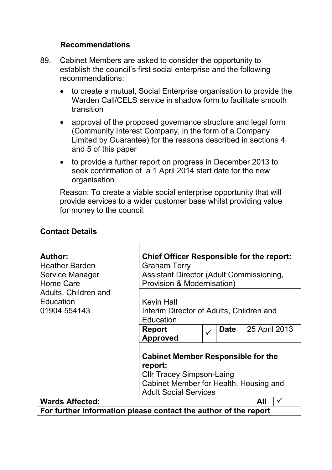#### **Recommendations**

- 89. Cabinet Members are asked to consider the opportunity to establish the council's first social enterprise and the following recommendations:
	- to create a mutual, Social Enterprise organisation to provide the Warden Call/CELS service in shadow form to facilitate smooth transition
	- approval of the proposed governance structure and legal form (Community Interest Company, in the form of a Company Limited by Guarantee) for the reasons described in sections 4 and 5 of this paper
	- to provide a further report on progress in December 2013 to seek confirmation of a 1 April 2014 start date for the new organisation

Reason: To create a viable social enterprise opportunity that will provide services to a wider customer base whilst providing value for money to the council.

| <b>Contact Details</b> |  |
|------------------------|--|
|------------------------|--|

| <b>Author:</b>                                                  | <b>Chief Officer Responsible for the report:</b>                                                                                                                   |              |             |                     |
|-----------------------------------------------------------------|--------------------------------------------------------------------------------------------------------------------------------------------------------------------|--------------|-------------|---------------------|
| <b>Heather Barden</b>                                           | <b>Graham Terry</b>                                                                                                                                                |              |             |                     |
| Service Manager                                                 | Assistant Director (Adult Commissioning,                                                                                                                           |              |             |                     |
| Home Care                                                       | <b>Provision &amp; Modernisation)</b>                                                                                                                              |              |             |                     |
| Adults, Children and                                            |                                                                                                                                                                    |              |             |                     |
| Education                                                       | <b>Kevin Hall</b>                                                                                                                                                  |              |             |                     |
| 01904 554143                                                    | Interim Director of Adults, Children and                                                                                                                           |              |             |                     |
|                                                                 | Education                                                                                                                                                          |              |             |                     |
|                                                                 | <b>Report</b>                                                                                                                                                      | $\checkmark$ | <b>Date</b> | 25 April 2013       |
|                                                                 | <b>Approved</b>                                                                                                                                                    |              |             |                     |
|                                                                 | <b>Cabinet Member Responsible for the</b><br>report:<br><b>CIIr Tracey Simpson-Laing</b><br>Cabinet Member for Health, Housing and<br><b>Adult Social Services</b> |              |             |                     |
| <b>Wards Affected:</b>                                          |                                                                                                                                                                    |              |             | $\checkmark$<br>All |
| For further information please contact the author of the report |                                                                                                                                                                    |              |             |                     |